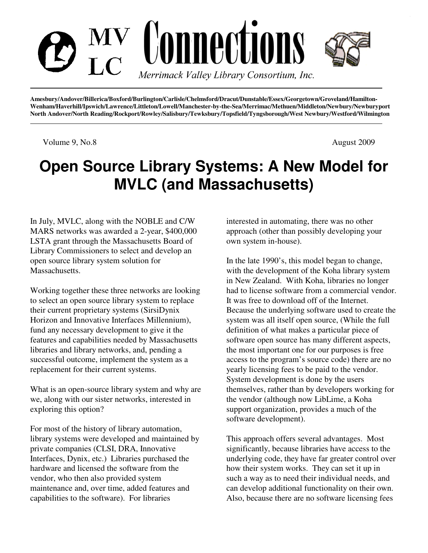

**Amesbury/Andover/Billerica/Boxford/Burlington/Carlisle/Chelmsford/Dracut/Dunstable/Essex/Georgetown/Groveland/Hamilton-Wenham/Haverhill/Ipswich/Lawrence/Littleton/Lowell/Manchester-by-the-Sea/Merrimac/Methuen/Middleton/Newbury/Newburyport North Andover/North Reading/Rockport/Rowley/Salisbury/Tewksbury/Topsfield/Tyngsborough/West Newbury/Westford/Wilmington** 

Volume 9, No.8 August 2009

# **Open Source Library Systems: A New Model for MVLC (and Massachusetts)**

In July, MVLC, along with the NOBLE and C/W MARS networks was awarded a 2-year, \$400,000 LSTA grant through the Massachusetts Board of Library Commissioners to select and develop an open source library system solution for Massachusetts.

Working together these three networks are looking to select an open source library system to replace their current proprietary systems (SirsiDynix Horizon and Innovative Interfaces Millennium), fund any necessary development to give it the features and capabilities needed by Massachusetts libraries and library networks, and, pending a successful outcome, implement the system as a replacement for their current systems.

What is an open-source library system and why are we, along with our sister networks, interested in exploring this option?

For most of the history of library automation, library systems were developed and maintained by private companies (CLSI, DRA, Innovative Interfaces, Dynix, etc.) Libraries purchased the hardware and licensed the software from the vendor, who then also provided system maintenance and, over time, added features and capabilities to the software). For libraries

interested in automating, there was no other approach (other than possibly developing your own system in-house).

In the late 1990's, this model began to change, with the development of the Koha library system in New Zealand. With Koha, libraries no longer had to license software from a commercial vendor. It was free to download off of the Internet. Because the underlying software used to create the system was all itself open source, (While the full definition of what makes a particular piece of software open source has many different aspects, the most important one for our purposes is free access to the program's source code) there are no yearly licensing fees to be paid to the vendor. System development is done by the users themselves, rather than by developers working for the vendor (although now LibLime, a Koha support organization, provides a much of the software development).

This approach offers several advantages. Most significantly, because libraries have access to the underlying code, they have far greater control over how their system works. They can set it up in such a way as to need their individual needs, and can develop additional functionality on their own. Also, because there are no software licensing fees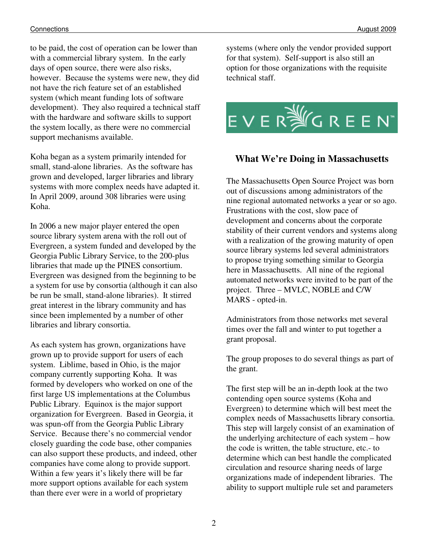#### Connections August 2009

to be paid, the cost of operation can be lower than with a commercial library system. In the early days of open source, there were also risks, however. Because the systems were new, they did not have the rich feature set of an established system (which meant funding lots of software development). They also required a technical staff with the hardware and software skills to support the system locally, as there were no commercial support mechanisms available.

Koha began as a system primarily intended for small, stand-alone libraries. As the software has grown and developed, larger libraries and library systems with more complex needs have adapted it. In April 2009, around 308 libraries were using Koha.

In 2006 a new major player entered the open source library system arena with the roll out of Evergreen, a system funded and developed by the Georgia Public Library Service, to the 200-plus libraries that made up the PINES consortium. Evergreen was designed from the beginning to be a system for use by consortia (although it can also be run be small, stand-alone libraries). It stirred great interest in the library community and has since been implemented by a number of other libraries and library consortia.

As each system has grown, organizations have grown up to provide support for users of each system. Liblime, based in Ohio, is the major company currently supporting Koha. It was formed by developers who worked on one of the first large US implementations at the Columbus Public Library. Equinox is the major support organization for Evergreen. Based in Georgia, it was spun-off from the Georgia Public Library Service. Because there's no commercial vendor closely guarding the code base, other companies can also support these products, and indeed, other companies have come along to provide support. Within a few years it's likely there will be far more support options available for each system than there ever were in a world of proprietary

systems (where only the vendor provided support for that system). Self-support is also still an option for those organizations with the requisite technical staff.



### **What We're Doing in Massachusetts**

The Massachusetts Open Source Project was born out of discussions among administrators of the nine regional automated networks a year or so ago. Frustrations with the cost, slow pace of development and concerns about the corporate stability of their current vendors and systems along with a realization of the growing maturity of open source library systems led several administrators to propose trying something similar to Georgia here in Massachusetts. All nine of the regional automated networks were invited to be part of the project. Three – MVLC, NOBLE and C/W MARS - opted-in.

Administrators from those networks met several times over the fall and winter to put together a grant proposal.

The group proposes to do several things as part of the grant.

The first step will be an in-depth look at the two contending open source systems (Koha and Evergreen) to determine which will best meet the complex needs of Massachusetts library consortia. This step will largely consist of an examination of the underlying architecture of each system – how the code is written, the table structure, etc.- to determine which can best handle the complicated circulation and resource sharing needs of large organizations made of independent libraries. The ability to support multiple rule set and parameters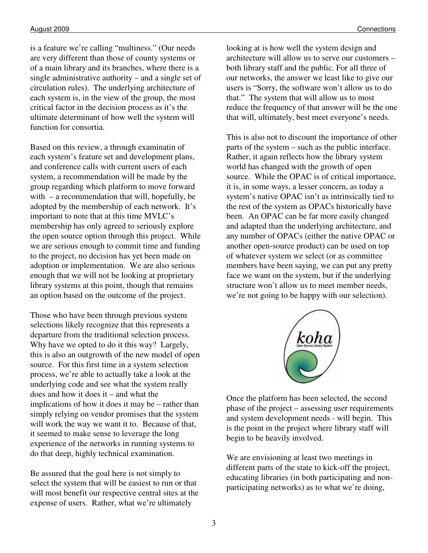is a feature we're calling "multiness." (Our needs are very different than those of county systems or of a main library and its branches, where there is a single administrative authority – and a single set of circulation rules). The underlying architecture of each system is, in the view of the group, the most critical factor in the decision process as it's the ultimate determinant of how well the system will function for consortia.

Based on this review, a through examinatin of each system's feature set and development plans, and conference calls with current users of each system, a recommendation will be made by the group regarding which platform to move forward with – a recommendation that will, hopefully, be adopted by the membership of each network. It's important to note that at this time MVLC's membership has only agreed to seriously explore the open source option through this project. While we are serious enough to commit time and funding to the project, no decision has yet been made on adoption or implementation. We are also serious enough that we will not be looking at proprietary library systems at this point, though that remains an option based on the outcome of the project.

Those who have been through previous system selections likely recognize that this represents a departure from the traditional selection process. Why have we opted to do it this way? Largely, this is also an outgrowth of the new model of open source. For this first time in a system selection process, we're able to actually take a look at the underlying code and see what the system really does and how it does it – and what the implications of how it does it may be – rather than simply relying on vendor promises that the system will work the way we want it to. Because of that, it seemed to make sense to leverage the long experience of the networks in running systems to do that deep, highly technical examination.

Be assured that the goal here is not simply to select the system that will be easiest to run or that will most benefit our respective central sites at the expense of users. Rather, what we're ultimately

looking at is how well the system design and architecture will allow us to serve our customers – both library staff and the public. For all three of our networks, the answer we least like to give our users is "Sorry, the software won't allow us to do that." The system that will allow us to most reduce the frequency of that answer will be the one that will, ultimately, best meet everyone's needs.

This is also not to discount the importance of other parts of the system – such as the public interface. Rather, it again reflects how the library system world has changed with the growth of open source. While the OPAC is of critical importance, it is, in some ways, a lesser concern, as today a system's native OPAC isn't as intrinsically tied to the rest of the system as OPACs historically have been. An OPAC can be far more easily changed and adapted than the underlying architecture, and any number of OPACs (either the native OPAC or another open-source product) can be used on top of whatever system we select (or as committee members have been saying, we can put any pretty face we want on the system, but if the underlying structure won't allow us to meet member needs, we're not going to be happy with our selection).



Once the platform has been selected, the second phase of the project – assessing user requirements and system development needs - will begin. This is the point in the project where library staff will begin to be heavily involved.

We are envisioning at least two meetings in different parts of the state to kick-off the project, educating libraries (in both participating and nonparticipating networks) as to what we're doing,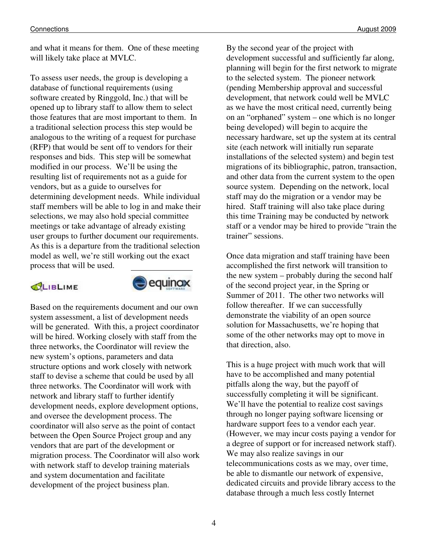and what it means for them. One of these meeting will likely take place at MVLC.

To assess user needs, the group is developing a database of functional requirements (using software created by Ringgold, Inc.) that will be opened up to library staff to allow them to select those features that are most important to them. In a traditional selection process this step would be analogous to the writing of a request for purchase (RFP) that would be sent off to vendors for their responses and bids. This step will be somewhat modified in our process. We'll be using the resulting list of requirements not as a guide for vendors, but as a guide to ourselves for determining development needs. While individual staff members will be able to log in and make their selections, we may also hold special committee meetings or take advantage of already existing user groups to further document our requirements. As this is a departure from the traditional selection model as well, we're still working out the exact process that will be used.

#### CLIBLIME



Based on the requirements document and our own system assessment, a list of development needs will be generated. With this, a project coordinator will be hired. Working closely with staff from the three networks, the Coordinator will review the new system's options, parameters and data structure options and work closely with network staff to devise a scheme that could be used by all three networks. The Coordinator will work with network and library staff to further identify development needs, explore development options, and oversee the development process. The coordinator will also serve as the point of contact between the Open Source Project group and any vendors that are part of the development or migration process. The Coordinator will also work with network staff to develop training materials and system documentation and facilitate development of the project business plan.

By the second year of the project with development successful and sufficiently far along, planning will begin for the first network to migrate to the selected system. The pioneer network (pending Membership approval and successful development, that network could well be MVLC as we have the most critical need, currently being on an "orphaned" system – one which is no longer being developed) will begin to acquire the necessary hardware, set up the system at its central site (each network will initially run separate installations of the selected system) and begin test migrations of its bibliographic, patron, transaction, and other data from the current system to the open source system. Depending on the network, local staff may do the migration or a vendor may be hired. Staff training will also take place during this time Training may be conducted by network staff or a vendor may be hired to provide "train the trainer" sessions.

Once data migration and staff training have been accomplished the first network will transition to the new system – probably during the second half of the second project year, in the Spring or Summer of 2011. The other two networks will follow thereafter. If we can successfully demonstrate the viability of an open source solution for Massachusetts, we're hoping that some of the other networks may opt to move in that direction, also.

This is a huge project with much work that will have to be accomplished and many potential pitfalls along the way, but the payoff of successfully completing it will be significant. We'll have the potential to realize cost savings through no longer paying software licensing or hardware support fees to a vendor each year. (However, we may incur costs paying a vendor for a degree of support or for increased network staff). We may also realize savings in our telecommunications costs as we may, over time, be able to dismantle our network of expensive, dedicated circuits and provide library access to the database through a much less costly Internet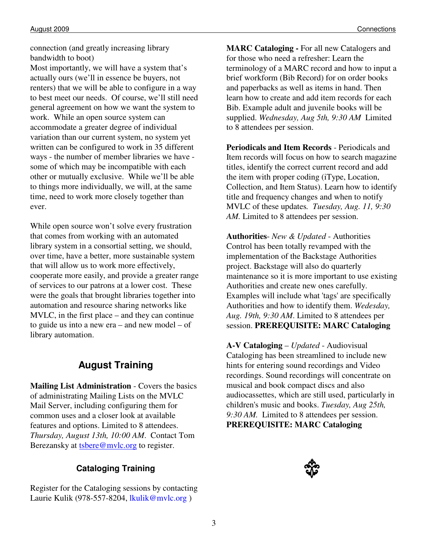connection (and greatly increasing library bandwidth to boot)

Most importantly, we will have a system that's actually ours (we'll in essence be buyers, not renters) that we will be able to configure in a way to best meet our needs. Of course, we'll still need general agreement on how we want the system to work. While an open source system can accommodate a greater degree of individual variation than our current system, no system yet written can be configured to work in 35 different ways - the number of member libraries we have some of which may be incompatible with each other or mutually exclusive. While we'll be able to things more individually, we will, at the same time, need to work more closely together than ever.

While open source won't solve every frustration that comes from working with an automated library system in a consortial setting, we should, over time, have a better, more sustainable system that will allow us to work more effectively, cooperate more easily, and provide a greater range of services to our patrons at a lower cost. These were the goals that brought libraries together into automation and resource sharing networks like MVLC, in the first place – and they can continue to guide us into a new era – and new model – of library automation.

### **August Training**

**Mailing List Administration** - Covers the basics of administrating Mailing Lists on the MVLC Mail Server, including configuring them for common uses and a closer look at available features and options. Limited to 8 attendees. *Thursday, August 13th, 10:00 AM*. Contact Tom Berezansky at **tsbere@mvlc.org** to register.

### **Cataloging Training**

Register for the Cataloging sessions by contacting Laurie Kulik (978-557-8204, lkulik@mvlc.org )

**MARC Cataloging -** For all new Catalogers and for those who need a refresher: Learn the terminology of a MARC record and how to input a brief workform (Bib Record) for on order books and paperbacks as well as items in hand. Then learn how to create and add item records for each Bib. Example adult and juvenile books will be supplied. *Wednesday, Aug 5th, 9:30 AM* Limited to 8 attendees per session.

**Periodicals and Item Records** - Periodicals and Item records will focus on how to search magazine titles, identify the correct current record and add the item with proper coding (iType, Location, Collection, and Item Status). Learn how to identify title and frequency changes and when to notify MVLC of these updates*. Tuesday, Aug. 11, 9:30 AM.* Limited to 8 attendees per session.

**Authorities**- *New & Updated* - Authorities Control has been totally revamped with the implementation of the Backstage Authorities project. Backstage will also do quarterly maintenance so it is more important to use existing Authorities and create new ones carefully. Examples will include what 'tags' are specifically Authorities and how to identify them. *Wedesday, Aug. 19th, 9:30 AM*. Limited to 8 attendees per session. **PREREQUISITE: MARC Cataloging** 

**A-V Cataloging** – *Updated* - Audiovisual Cataloging has been streamlined to include new hints for entering sound recordings and Video recordings. Sound recordings will concentrate on musical and book compact discs and also audiocassettes, which are still used, particularly in children's music and books. *Tuesday, Aug 25th, 9:30 AM.* Limited to 8 attendees per session. **PREREQUISITE: MARC Cataloging**